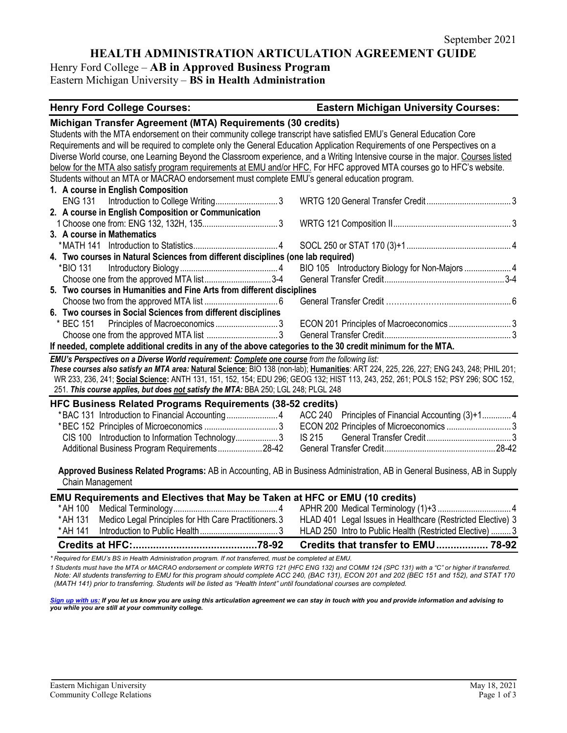**HEALTH ADMINISTRATION ARTICULATION AGREEMENT GUIDE**

Henry Ford College – **AB in Approved Business Program** Eastern Michigan University – **BS in Health Administration**

## **Henry Ford College Courses: Eastern Michigan University Courses:**

|                | Michigan Transfer Agreement (MTA) Requirements (30 credits)                                                 |                                                                                                                                         |
|----------------|-------------------------------------------------------------------------------------------------------------|-----------------------------------------------------------------------------------------------------------------------------------------|
|                |                                                                                                             | Students with the MTA endorsement on their community college transcript have satisfied EMU's General Education Core                     |
|                |                                                                                                             | Requirements and will be required to complete only the General Education Application Requirements of one Perspectives on a              |
|                |                                                                                                             | Diverse World course, one Learning Beyond the Classroom experience, and a Writing Intensive course in the major. Courses listed         |
|                |                                                                                                             | below for the MTA also satisfy program requirements at EMU and/or HFC. For HFC approved MTA courses go to HFC's website.                |
|                | Students without an MTA or MACRAO endorsement must complete EMU's general education program.                |                                                                                                                                         |
|                | 1. A course in English Composition                                                                          |                                                                                                                                         |
| <b>ENG 131</b> | Introduction to College Writing3                                                                            |                                                                                                                                         |
|                | 2. A course in English Composition or Communication                                                         |                                                                                                                                         |
|                |                                                                                                             |                                                                                                                                         |
|                | 3. A course in Mathematics                                                                                  |                                                                                                                                         |
|                |                                                                                                             |                                                                                                                                         |
|                | 4. Two courses in Natural Sciences from different disciplines (one lab required)                            |                                                                                                                                         |
| *BIO 131       |                                                                                                             | BIO 105 Introductory Biology for Non-Majors  4                                                                                          |
|                | Choose one from the approved MTA list3-4                                                                    |                                                                                                                                         |
|                | 5. Two courses in Humanities and Fine Arts from different disciplines                                       |                                                                                                                                         |
|                |                                                                                                             |                                                                                                                                         |
|                | 6. Two courses in Social Sciences from different disciplines                                                |                                                                                                                                         |
|                |                                                                                                             | ECON 201 Principles of Macroeconomics  3                                                                                                |
|                |                                                                                                             |                                                                                                                                         |
|                | If needed, complete additional credits in any of the above categories to the 30 credit minimum for the MTA. |                                                                                                                                         |
|                | EMU's Perspectives on a Diverse World requirement: Complete one course from the following list:             |                                                                                                                                         |
|                |                                                                                                             | These courses also satisfy an MTA area: Natural Science: BIO 138 (non-lab); Humanities: ART 224, 225, 226, 227; ENG 243, 248; PHIL 201; |
|                |                                                                                                             | WR 233, 236, 241; Social Science: ANTH 131, 151, 152, 154; EDU 296; GEOG 132; HIST 113, 243, 252, 261; POLS 152; PSY 296; SOC 152,      |
|                | 251. This course applies, but does not satisfy the MTA: BBA 250; LGL 248; PLGL 248                          |                                                                                                                                         |
|                | <b>HFC Business Related Programs Requirements (38-52 credits)</b>                                           |                                                                                                                                         |
|                |                                                                                                             | ACC 240 Principles of Financial Accounting (3)+1 4                                                                                      |
|                |                                                                                                             | ECON 202 Principles of Microeconomics  3                                                                                                |
|                | CIS 100 Introduction to Information Technology3                                                             | <b>IS 215</b>                                                                                                                           |
|                | Additional Business Program Requirements28-42                                                               |                                                                                                                                         |
|                |                                                                                                             |                                                                                                                                         |
|                |                                                                                                             | Approved Business Related Programs: AB in Accounting, AB in Business Administration, AB in General Business, AB in Supply               |
|                | Chain Management                                                                                            |                                                                                                                                         |
|                | EMU Requirements and Electives that May be Taken at HFC or EMU (10 credits)                                 |                                                                                                                                         |
| *AH 100        |                                                                                                             |                                                                                                                                         |
| * AH 131       | Medico Legal Principles for Hth Care Practitioners. 3                                                       | HLAD 401 Legal Issues in Healthcare (Restricted Elective) 3                                                                             |
| * AH 141       |                                                                                                             | HLAD 250 Intro to Public Health (Restricted Elective)  3                                                                                |
|                |                                                                                                             |                                                                                                                                         |
|                |                                                                                                             | Credits that transfer to EMU 78-92                                                                                                      |

*\* Required for EMU's BS in Health Administration program. If not transferred, must be completed at EMU.* 

*1 Students must have the MTA or MACRAO endorsement or complete WRTG 121 (HFC ENG 132) and COMM 124 (SPC 131) with a "C" or higher if transferred. Note: All students transferring to EMU for this program should complete ACC 240, (BAC 131), ECON 201 and 202 (BEC 151 and 152), and STAT 170 (MATH 141) prior to transferring. Students will be listed as "Health Intent" until foundational courses are completed.*

*[Sign up with us:](https://www.emich.edu/ccr/articulation-agreements/signup.php) If you let us know you are using this articulation agreement we can stay in touch with you and provide information and advising to you while you are still at your community college.*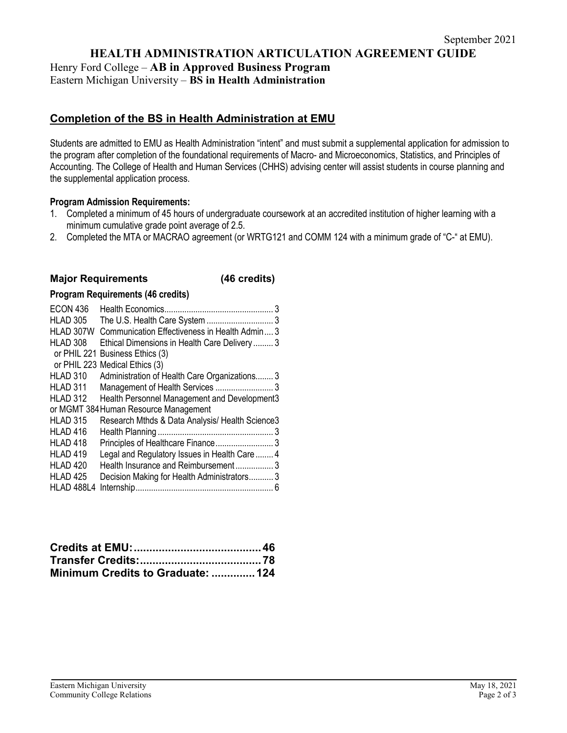**HEALTH ADMINISTRATION ARTICULATION AGREEMENT GUIDE**

Henry Ford College – **AB in Approved Business Program** Eastern Michigan University – **BS in Health Administration**

# **Completion of the BS in Health Administration at EMU**

Students are admitted to EMU as Health Administration "intent" and must submit a supplemental application for admission to the program after completion of the foundational requirements of Macro- and Microeconomics, Statistics, and Principles of Accounting. The College of Health and Human Services (CHHS) advising center will assist students in course planning and the supplemental application process.

## **Program Admission Requirements:**

- 1. Completed a minimum of 45 hours of undergraduate coursework at an accredited institution of higher learning with a minimum cumulative grade point average of 2.5.
- 2. Completed the MTA or MACRAO agreement (or WRTG121 and COMM 124 with a minimum grade of "C-" at EMU).

# **Major Requirements (46 credits)**

## **Program Requirements (46 credits)**

| <b>ECON 436</b><br><b>HLAD 305</b><br>HLAD 307W<br>HLAD 308 | 3<br>Communication Effectiveness in Health Admin 3<br>Ethical Dimensions in Health Care Delivery 3 |
|-------------------------------------------------------------|----------------------------------------------------------------------------------------------------|
|                                                             | or PHIL 221 Business Ethics (3)<br>or PHIL 223 Medical Ethics (3)                                  |
| HLAD 310                                                    | Administration of Health Care Organizations 3                                                      |
| HLAD 311                                                    | Management of Health Services  3                                                                   |
| HLAD 312                                                    | Health Personnel Management and Development3                                                       |
|                                                             | or MGMT 384 Human Resource Management                                                              |
| <b>HLAD 315</b>                                             | Research Mthds & Data Analysis/ Health Science3                                                    |
| <b>HLAD 416</b>                                             |                                                                                                    |
| HLAD <sub>418</sub>                                         |                                                                                                    |
| HLAD <sub>419</sub>                                         | Legal and Regulatory Issues in Health Care  4                                                      |
| HLAD <sub>420</sub>                                         | Health Insurance and Reimbursement3                                                                |
| HLAD <sub>425</sub>                                         | Decision Making for Health Administrators 3                                                        |
| <b>HLAD 488L4</b>                                           |                                                                                                    |

| Minimum Credits to Graduate:  124 |  |
|-----------------------------------|--|